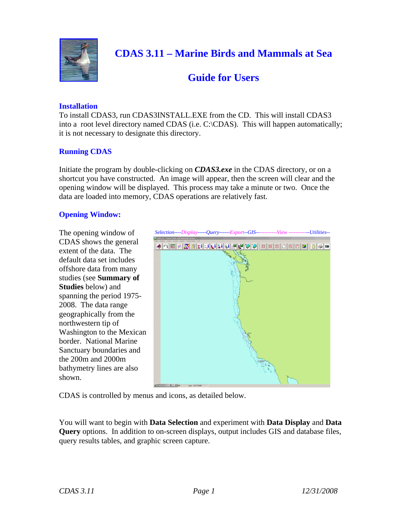

# **Guide for Users**

#### **Installation**

To install CDAS3, run CDAS3INSTALL.EXE from the CD. This will install CDAS3 into a root level directory named CDAS (i.e. C:\CDAS). This will happen automatically; it is not necessary to designate this directory.

#### **Running CDAS**

Initiate the program by double-clicking on *CDAS3.exe* in the CDAS directory, or on a shortcut you have constructed. An image will appear, then the screen will clear and the opening window will be displayed. This process may take a minute or two. Once the data are loaded into memory, CDAS operations are relatively fast.

#### **Opening Window:**

The opening window of CDAS shows the general extent of the data. The default data set includes offshore data from many studies (see **Summary of Studies** below) and spanning the period 1975 2008. The data range geographically from the northwestern tip of Washington to the Mexican border. National Marine Sanctuary boundaries and the 200m and 2000m bathymetry lines are also shown.



CDAS is controlled by menus and icons, as detailed below.

You will want to begin with **Data Selection** and experiment with **Data Display** and **Data Query** options. In addition to on-screen displays, output includes GIS and database files, query results tables, and graphic screen capture.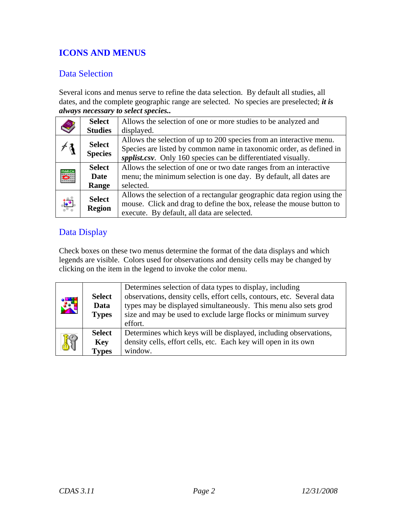## **ICONS AND MENUS**

### Data Selection

Several icons and menus serve to refine the data selection. By default all studies, all dates, and the complete geographic range are selected. No species are preselected; *it is always necessary to select species..* 

|               | <b>Select</b>  | Allows the selection of one or more studies to be analyzed and         |
|---------------|----------------|------------------------------------------------------------------------|
|               | <b>Studies</b> | displayed.                                                             |
|               | <b>Select</b>  | Allows the selection of up to 200 species from an interactive menu.    |
|               | <b>Species</b> | Species are listed by common name in taxonomic order, as defined in    |
|               |                | spplist.csv. Only 160 species can be differentiated visually.          |
|               | <b>Select</b>  | Allows the selection of one or two date ranges from an interactive     |
|               | <b>Date</b>    | menu; the minimum selection is one day. By default, all dates are      |
|               | Range          | selected.                                                              |
|               |                | Allows the selection of a rectangular geographic data region using the |
| $\frac{1}{2}$ | <b>Select</b>  | mouse. Click and drag to define the box, release the mouse button to   |
|               | <b>Region</b>  | execute. By default, all data are selected.                            |

## Data Display

Check boxes on these two menus determine the format of the data displays and which legends are visible. Colors used for observations and density cells may be changed by clicking on the item in the legend to invoke the color menu.

| $\frac{3}{2}$ | <b>Select</b><br>Data<br><b>Types</b> | Determines selection of data types to display, including<br>observations, density cells, effort cells, contours, etc. Several data<br>types may be displayed simultaneously. This menu also sets grod<br>size and may be used to exclude large flocks or minimum survey<br>effort. |
|---------------|---------------------------------------|------------------------------------------------------------------------------------------------------------------------------------------------------------------------------------------------------------------------------------------------------------------------------------|
| K             | <b>Select</b><br>Key<br><b>Types</b>  | Determines which keys will be displayed, including observations,<br>density cells, effort cells, etc. Each key will open in its own<br>window.                                                                                                                                     |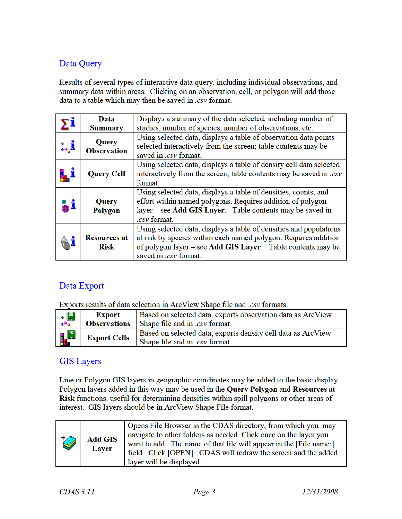## Data Query

Results of several types of interactive data query, including individual observations, and summary data within areas. Clicking on an observation, cell, or polygon will add those data to a table which may then be saved in .csv format.

| Data<br><b>Summary</b>     |                                    | Displays a summary of the data selected, including number of<br>studies, number of species, number of observations, etc.                                                                                                      |  |  |
|----------------------------|------------------------------------|-------------------------------------------------------------------------------------------------------------------------------------------------------------------------------------------------------------------------------|--|--|
| <b>i.,</b>                 | Query<br><b>Observation</b>        | Using selected data, displays a table of observation data points<br>selected interactively from the screen; table contents may be<br>saved in .csv format.                                                                    |  |  |
|                            | <b>Query Cell</b>                  | Using selected data, displays a table of density cell data selected<br>interactively from the screen; table contents may be saved in .csv<br>format.                                                                          |  |  |
| $\triangle^{\mathfrak{z}}$ | Query<br>Polygon                   | Using selected data, displays a table of densities, counts, and<br>effort within named polygons. Requires addition of polygon<br>layer - see Add GIS Layer. Table contents may be saved in<br>.csv format.                    |  |  |
|                            | <b>Resources at</b><br><b>Risk</b> | Using selected data, displays a table of densities and populations<br>at risk by species within each named polygon. Requires addition<br>of polygon layer – see Add GIS Layer. Table contents may be<br>saved in .csv format. |  |  |

## Data Export

Exports results of data selection in ArcView Shape file and .csv formats.

| $\frac{1}{2}$ | Export              | Based on selected data, exports observation data as ArcView<br><b>Observations</b> Shape file and in . <i>csv</i> format. |
|---------------|---------------------|---------------------------------------------------------------------------------------------------------------------------|
|               |                     |                                                                                                                           |
| $\frac{1}{2}$ | <b>Export Cells</b> | Based on selected data, exports density cell data as ArcView<br>Shape file and in .csv format.                            |

#### **GIS Layers**

Line or Polygon GIS layers in geographic coordinates may be added to the basic display. Polygon layers added in this way may be used in the Query Polygon and Resources at Risk functions, useful for determining densities within spill polygons or other areas of interest. GIS layers should be in ArcView Shape File format.

| <b>I</b> | <b>Add GIS</b><br>Layer | Opens File Browser in the CDAS directory, from which you may<br>navigate to other folders as needed. Click once on the layer you<br>want to add. The name of that file will appear in the [File name:]<br>field. Click [OPEN]. CDAS will redraw the screen and the added<br>layer will be displayed. |
|----------|-------------------------|------------------------------------------------------------------------------------------------------------------------------------------------------------------------------------------------------------------------------------------------------------------------------------------------------|
|----------|-------------------------|------------------------------------------------------------------------------------------------------------------------------------------------------------------------------------------------------------------------------------------------------------------------------------------------------|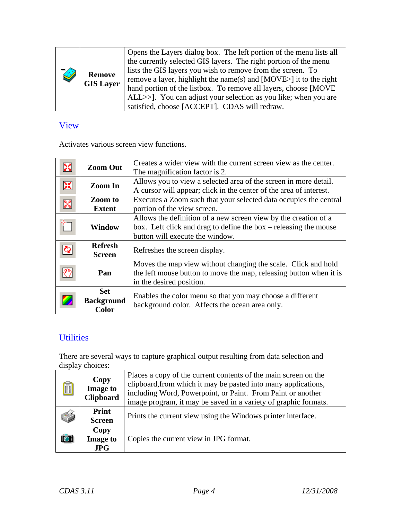| Î | <b>Remove</b><br><b>GIS Layer</b> | Opens the Layers dialog box. The left portion of the menu lists all<br>the currently selected GIS layers. The right portion of the menu<br>lists the GIS layers you wish to remove from the screen. To<br>remove a layer, highlight the name(s) and $[MOVE>]$ it to the right<br>hand portion of the listbox. To remove all layers, choose [MOVE]<br>ALL>>]. You can adjust your selection as you like; when you are<br>satisfied, choose [ACCEPT]. CDAS will redraw. |
|---|-----------------------------------|-----------------------------------------------------------------------------------------------------------------------------------------------------------------------------------------------------------------------------------------------------------------------------------------------------------------------------------------------------------------------------------------------------------------------------------------------------------------------|
|---|-----------------------------------|-----------------------------------------------------------------------------------------------------------------------------------------------------------------------------------------------------------------------------------------------------------------------------------------------------------------------------------------------------------------------------------------------------------------------------------------------------------------------|

## View

Activates various screen view functions.

| X<br><b>Zoom Out</b>                                 |                                                 | Creates a wider view with the current screen view as the center.<br>The magnification factor is 2.                                                                       |  |
|------------------------------------------------------|-------------------------------------------------|--------------------------------------------------------------------------------------------------------------------------------------------------------------------------|--|
| 窝<br>Zoom In<br><b>Zoom</b> to<br>飂<br><b>Extent</b> |                                                 | Allows you to view a selected area of the screen in more detail.<br>A cursor will appear; click in the center of the area of interest.                                   |  |
|                                                      |                                                 | Executes a Zoom such that your selected data occupies the central<br>portion of the view screen.                                                                         |  |
|                                                      | <b>Window</b>                                   | Allows the definition of a new screen view by the creation of a<br>box. Left click and drag to define the box $-$ releasing the mouse<br>button will execute the window. |  |
|                                                      | <b>Refresh</b><br><b>Screen</b>                 | Refreshes the screen display.                                                                                                                                            |  |
|                                                      | Pan                                             | Moves the map view without changing the scale. Click and hold<br>the left mouse button to move the map, releasing button when it is<br>in the desired position.          |  |
|                                                      | <b>Set</b><br><b>Background</b><br><b>Color</b> | Enables the color menu so that you may choose a different<br>background color. Affects the ocean area only.                                                              |  |

## **Utilities**

There are several ways to capture graphical output resulting from data selection and display choices:

| A | Copy<br><b>Image to</b><br><b>Clipboard</b> | Places a copy of the current contents of the main screen on the<br>clipboard, from which it may be pasted into many applications,<br>including Word, Powerpoint, or Paint. From Paint or another<br>image program, it may be saved in a variety of graphic formats. |  |
|---|---------------------------------------------|---------------------------------------------------------------------------------------------------------------------------------------------------------------------------------------------------------------------------------------------------------------------|--|
|   | Print<br><b>Screen</b>                      | Prints the current view using the Windows printer interface.                                                                                                                                                                                                        |  |
|   | Copy<br><b>Image to</b><br><b>JPG</b>       | Copies the current view in JPG format.                                                                                                                                                                                                                              |  |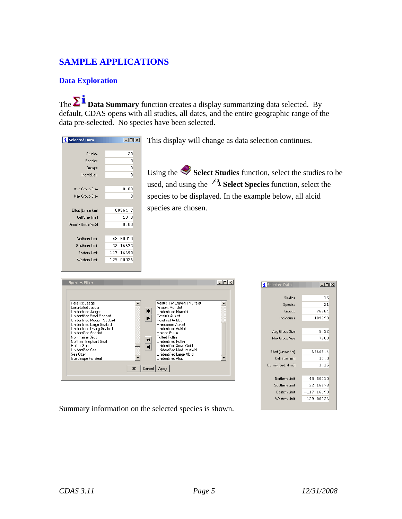## **SAMPLE APPLICATIONS**

#### **Data Exploration**

 data pre-selected. No species have been selected. The  $\sum \tilde{I}$  **Data Summary** function creates a display summarizing data selected. By default, CDAS opens with all studies, all dates, and the entire geographic range of the

| <b>Selected Data</b> | - 101        |
|----------------------|--------------|
|                      |              |
| Studies              | 20           |
| Species              | Ω            |
| Groups               | n            |
| Individuals          | n            |
|                      |              |
| Avg Group Size       | 0.00         |
| Max Group Size       | 0            |
|                      |              |
| Effort (Linear km)   | 80564.7      |
| Cell Size (min)      | 10.0         |
| Density (birds/km2)  | 0.00         |
|                      |              |
| Northern Limit       | 48.50010     |
| Southern Limit       | 32.16673     |
| Eastern Limit        | $-117.16690$ |
| Western Limit        | $-129.00026$ |
|                      |              |
|                      |              |

This display will change as data selection continues.

Using the **Select Studies** function, select the studies to be used, and using the  $\overrightarrow{A}$  **Select Species** function, select the species to be displayed. In the example below, all alcid species are chosen.

| Parasitic Jaeger<br>Long-tailed Jaeger<br>Unidentified Jaeger<br>Unidentified Small Seabird<br>Unidentified Medium Seabird<br>Unidentified Large Seabird<br>Unidentified Diving Seabird<br><b>Unidentified Seabird</b><br>Non-marine Birds<br>Northern Elephant Seal<br>Harbor Seal<br>Unidentified Seal<br>Sea Otter<br>Guadalupe Fur Seal | ₩<br>↤ | Xantus's or Craveri's Murrelet<br>Ancient Murrelet<br><b>Unidentified Murrelet</b><br>Cassin's Auklet<br>Parakeet Auklet<br>Rhinoceros Auklet<br><b>Unidentified Auklet</b><br>Horned Puffin<br><b>Tufted Puffin</b><br>Unidentified Puffin<br><b>Unidentified Small Alcid</b><br>Unidentified Medium Alcid<br>Unidentified Large Alcid<br>Unidentified Alcid |  |
|---------------------------------------------------------------------------------------------------------------------------------------------------------------------------------------------------------------------------------------------------------------------------------------------------------------------------------------------|--------|---------------------------------------------------------------------------------------------------------------------------------------------------------------------------------------------------------------------------------------------------------------------------------------------------------------------------------------------------------------|--|
|---------------------------------------------------------------------------------------------------------------------------------------------------------------------------------------------------------------------------------------------------------------------------------------------------------------------------------------------|--------|---------------------------------------------------------------------------------------------------------------------------------------------------------------------------------------------------------------------------------------------------------------------------------------------------------------------------------------------------------------|--|

| <b>Selected Data</b> | $ \Box$ $\times$ |  |
|----------------------|------------------|--|
|                      |                  |  |
| Studies              | 15               |  |
| Species              | 21               |  |
| Groups               | 76964            |  |
| Individuals          | 409798           |  |
|                      |                  |  |
| Avg Group Size       | 5.32             |  |
| Max Group Size       | 7500             |  |
|                      |                  |  |
| Effort (Linear km)   | 62668.4          |  |
| Cell Size (min)      | 10.0             |  |
| Density (birds/km2)  | 1.15             |  |
|                      |                  |  |
| Northern Limit       | 48.50010         |  |
| Southern Limit       | 32.16673         |  |
| Eastern Limit        | $-117.16690$     |  |
| Western Limit        | $-129.00026$     |  |
|                      |                  |  |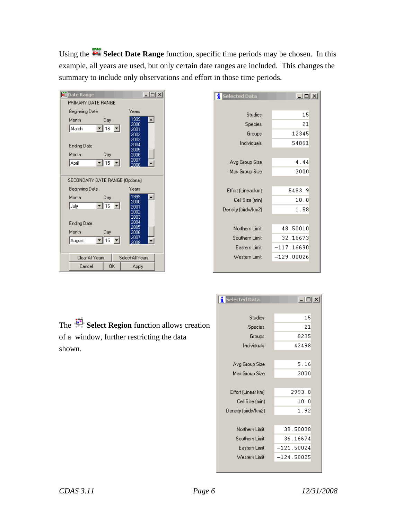Using the **Select Date Range** function, specific time periods may be chosen. In this example, all years are used, but only certain date ranges are included. This changes the summary to include only observations and effort in those time periods.



| <mark>:</mark> Selected Data | $\Box$       |
|------------------------------|--------------|
|                              |              |
| Studies                      | 15           |
| Species                      | 21           |
| Groups                       | 12345        |
| Individuals                  | 54861        |
|                              |              |
| Avg Group Size               | 4.44         |
| Max Group Size               | 3000         |
|                              |              |
| Effort (Linear km)           | 5483.9       |
| Cell Size (min)              | 10.0         |
| Density (birds/km2)          | 1.58         |
|                              |              |
| Northern Limit               | 48.50010     |
| Southern Limit               | 32.16673     |
| Eastern Limit                | $-117.16690$ |
| Western Limit                | $-129.00026$ |
|                              |              |

The **Select Region** function allows creation of a window, further restricting the data shown.

| <mark>:</mark> Selected Data | $-12X$       |  |  |
|------------------------------|--------------|--|--|
|                              |              |  |  |
| Studies                      | 15           |  |  |
| Species                      | 21           |  |  |
| Groups                       | 8235         |  |  |
| Individuals                  | 42498        |  |  |
|                              |              |  |  |
| Avg Group Size               | 5.16         |  |  |
| Max Group Size               | 3000         |  |  |
|                              |              |  |  |
| Effort (Linear km)           | 2993.0       |  |  |
| Cell Size (min)              | 10.0         |  |  |
| Density (birds/km2)          | 1.92         |  |  |
|                              |              |  |  |
| Northern Limit               | 38.50008     |  |  |
| Southern Limit               | 36.16674     |  |  |
| Eastern Limit                | $-121.50024$ |  |  |
| Western Limit                | $-124.50025$ |  |  |
|                              |              |  |  |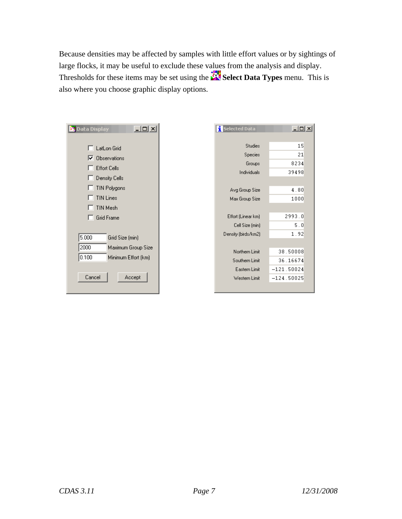Because densities may be affected by samples with little effort values or by sightings of large flocks, it may be useful to exclude these values from the analysis and display. Thresholds for these items may be set using the **Select Data Types** menu. This is also where you choose graphic display options.

| $\Box$<br><b>X</b> Data Display                                                                                                  | <b>Selected Data</b>                                                                           | <u>니미지</u>                                                                                                        |
|----------------------------------------------------------------------------------------------------------------------------------|------------------------------------------------------------------------------------------------|-------------------------------------------------------------------------------------------------------------------|
| LatLon Grid<br><b>Observations</b><br>⊽<br><b>Effort Cells</b><br>Density Cells<br>TIN Polygons<br><b>TIN Lines</b><br>TIN Mesh  | Avg Group Size<br>Max Group Size                                                               | 15<br><b>Studies</b><br>Species<br>21<br>8234<br>Groups<br>Individuals<br>39498<br>4.80<br>1000                   |
| <b>Grid Frame</b><br>5.000<br>Grid Size (min)<br>2000<br>Maximum Group Size<br> 0.100<br>Minimum Effort (km)<br>Cancel<br>Accept | Effort (Linear km)<br>Density (birds/km2)<br>Northern Limit<br>Southern Limit<br>Western Limit | 2993.0<br>5.0<br>Cell Size (min)<br>1.92<br>38.50008<br>36.16674<br>$-121.50024$<br>Eastern Limit<br>$-124.50025$ |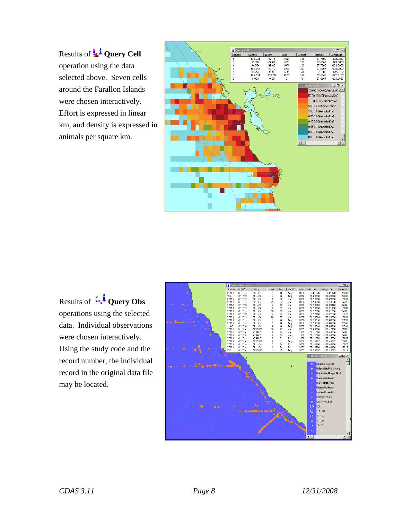Results of **L<sup>1</sup>** Query Cell operation using the data selected above. Seven cells around the Farallon Islands were chosen interactively. Effort is expressed in linear km, and density is expressed in animals per square km.



Results of **<sup>40</sup><sup>1</sup>** Query Obs operations using the selected data. Individual observations were chosen interactively. Using the study code and the record number, the individual record in the original data file may be located.

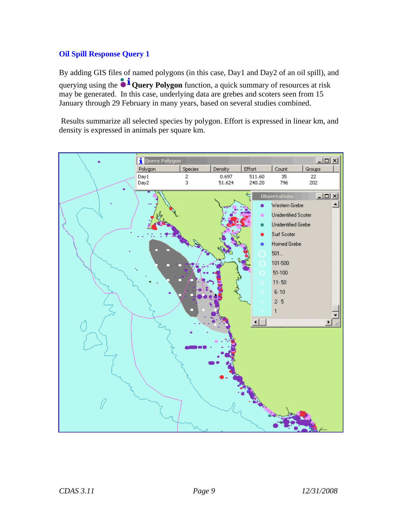#### **Oil Spill Response Query 1**

By adding GIS files of named polygons (in this case, Day1 and Day2 of an oil spill), and querying using the  $\mathbf{\hat{i}}$  **Query Polygon** function, a quick summary of resources at risk may be generated. In this case, underlying data are grebes and scoters seen from 15 January through 29 February in many years, based on several studies combined.

 Results summarize all selected species by polygon. Effort is expressed in linear km, and density is expressed in animals per square km.

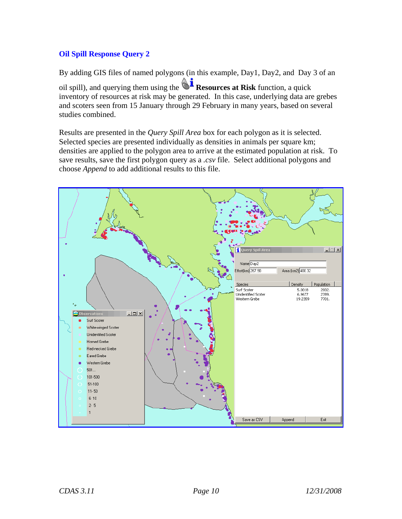#### **Oil Spill Response Query 2**

By adding GIS files of named polygons (in this example, Day1, Day2, and Day 3 of an oil spill), and querying them using the  $\mathbb{R}^{\mathbf{i}}$  **Resources at Risk** function, a quick inventory of resources at risk may be generated. In this case, underlying data are grebes and scoters seen from 15 January through 29 February in many years, based on several studies combined.

Results are presented in the *Query Spill Area* box for each polygon as it is selected. Selected species are presented individually as densities in animals per square km; densities are applied to the polygon area to arrive at the estimated population at risk. To save results, save the first polygon query as a *.csv* file. Select additional polygons and choose *Append* to add additional results to this file.

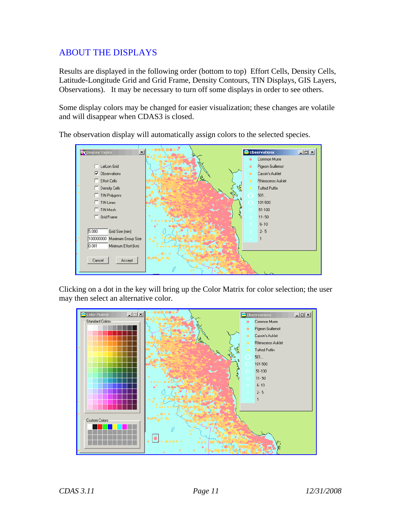### ABOUT THE DISPLAYS

Results are displayed in the following order (bottom to top) Effort Cells, Density Cells, Latitude-Longitude Grid and Grid Frame, Density Contours, TIN Displays, GIS Layers, Observations). It may be necessary to turn off some displays in order to see others.

Some display colors may be changed for easier visualization; these changes are volatile and will disappear when CDAS3 is closed.



The observation display will automatically assign colors to the selected species.

Clicking on a dot in the key will bring up the Color Matrix for color selection; the user may then select an alternative color.

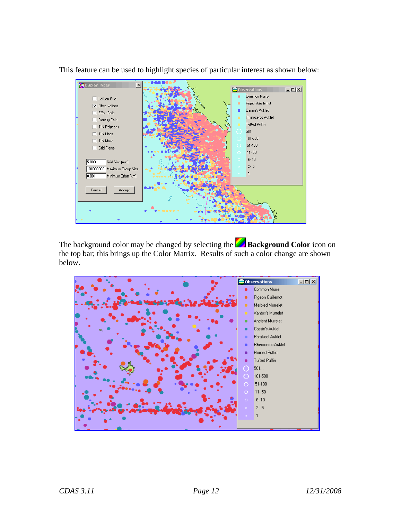

This feature can be used to highlight species of particular interest as shown below:

The background color may be changed by selecting the **Background Color** icon on the top bar; this brings up the Color Matrix. Results of such a color change are shown below.

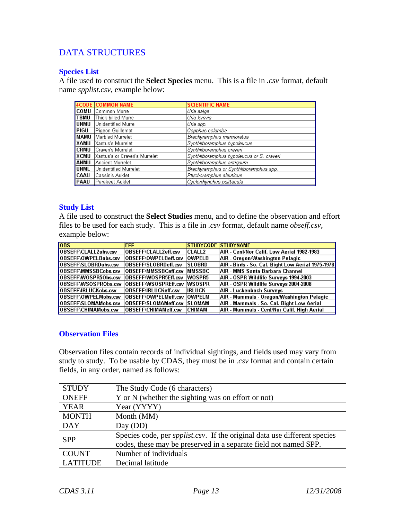## DATA STRUCTURES

#### **Species List**

A file used to construct the **Select Species** menu. This is a file in *.csv* format, default name *spplist.csv*, example below:

|             | <b>4CODE COMMON NAME</b>       | <b>SCIENTIFIC NAME</b>                    |
|-------------|--------------------------------|-------------------------------------------|
| <b>COMU</b> | lCommon Murre                  | Uria aalge                                |
| TBMU        | Thick-billed Murre             | Uria Iomvia                               |
| <b>UNMU</b> | Unidentified Murre             | ¡Uria spp.                                |
| PIGU        | Pigeon Guillemot               | Cepphus columba                           |
| MAMU        | Marbled Murrelet               | Brachyramphus marmoratus                  |
| XAMU        | Xantus's Murrelet              | Synthliboramphus hypoleucus               |
| <b>CRMU</b> | Craveri's Murrelet             | Synthliboramphus craveri                  |
| XCMU        | Xantus's or Craveri's Murrelet | Synthliboramphus hypoleucus or S. craveri |
| ANMU        | Ancient Murrelet               | Synthliboramphus antiquum                 |
| <b>UNML</b> | Unidentified Murrelet          | Brachyramphus or Synthliboramphus spp.    |
| <b>CAAU</b> | Cassin's Auklet                | Ptychoramphus aleuticus                   |
| PAAU        | lParakeet Auklet I             | Cyclorrhynchus psittacula                 |

#### **Study List**

A file used to construct the **Select Studies** menu, and to define the observation and effort files to be used for each study. This is a file in *.csv* format, default name *obseff.csv*, example below:

| <b>lobs</b>                 | <b>EFF</b>                   |               | <b>STUDYCODE STUDYNAME</b>                        |
|-----------------------------|------------------------------|---------------|---------------------------------------------------|
| OBSEFF\CLALL2obs.csv        | OBSEFF\CLALL2eff.csv         | <b>CLALL2</b> | AIR - Cenl/Nor Calif. Low Aerial 1982-1983        |
| OBSEFF\OWPELBobs.csv        | OBSEFF\OWPELBeff.csv  OWPELB |               | AIR - Oregon/Washington Pelagic                   |
| OBSEFF\SLOBRDobs.csv        | <b>OBSEFF\SLOBRDeff.csv</b>  | <b>SLOBRD</b> | AIR - Birds - So. Cal. Bight Low Aerial 1975-1978 |
| OBSEFF\MMSSBCobs.csv        | OBSEFF\MMSSBCeff.csv  MMSSBC |               | <b>AIR - MMS Santa Barbara Channel</b>            |
| OBSEFF\WOSPR50bs.csv        | OBSEFF\WOSPR5Eff.csv         | WOSPR5        | AIR - OSPR Wildlife Surveys 1994-2003             |
| OBSEFF\WSOSPRObs.csv        | OBSEFF\WSOSPREff.csv  WSOSPR |               | AIR - OSPR Wildlife Surveys 2004-2008             |
| OBSEFF\IRLUCKobs.csv        | OBSEFF\IRLUCKeff.csv         | IIRLUCK       | AIR - Luckenbach Surveys                          |
| OBSEFF\OWPELMobs.csv        | OBSEFF\OWPELMeff.csv  OWPELM |               | AIR - Mammals - Oregon/Washington Pelagic         |
| OBSEFF\SLOMAMobs.csv        | OBSEFF\SLOMAMeff.csv  SLOMAM |               | AIR - Mammals - So. Cal. Bight Low Aerial         |
| <b>OBSEFF\CHIMAMobs.csv</b> | OBSEFF\CHIMAMeff.csv         | <b>CHIMAM</b> | AIR - Mammals - Cenl/Nor Calif. High Aerial       |

#### **Observation Files**

Observation files contain records of individual sightings, and fields used may vary from study to study. To be usable by CDAS, they must be in *.csv* format and contain certain fields, in any order, named as follows:

| <b>STUDY</b>    | The Study Code (6 characters)                                                     |
|-----------------|-----------------------------------------------------------------------------------|
| <b>ONEFF</b>    | Y or N (whether the sighting was on effort or not)                                |
| <b>YEAR</b>     | Year (YYYY)                                                                       |
| <b>MONTH</b>    | Month (MM)                                                                        |
| <b>DAY</b>      | Day (DD)                                                                          |
| <b>SPP</b>      | Species code, per <i>spplist.csv</i> . If the original data use different species |
|                 | codes, these may be preserved in a separate field not named SPP.                  |
| <b>COUNT</b>    | Number of individuals                                                             |
| <b>LATITUDE</b> | Decimal latitude                                                                  |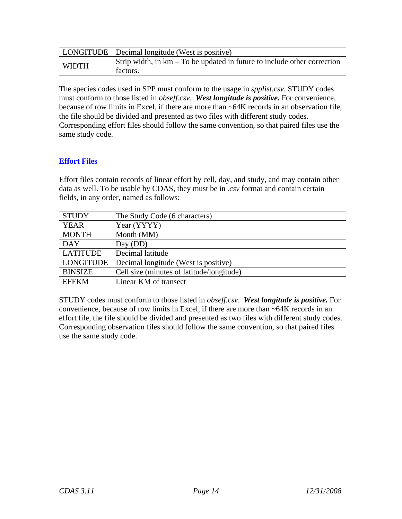|              | LONGITUDE   Decimal longitude (West is positive)                                     |
|--------------|--------------------------------------------------------------------------------------|
| <b>WIDTH</b> | Strip width, in km – To be updated in future to include other correction<br>factors. |

The species codes used in SPP must conform to the usage in *spplist.csv*. STUDY codes must conform to those listed in *obseff.csv*. *West longitude is positive.* For convenience, because of row limits in Excel, if there are more than ~64K records in an observation file, the file should be divided and presented as two files with different study codes. Corresponding effort files should follow the same convention, so that paired files use the same study code.

#### **Effort Files**

Effort files contain records of linear effort by cell, day, and study, and may contain other data as well. To be usable by CDAS, they must be in *.csv* format and contain certain fields, in any order, named as follows:

| <b>STUDY</b>     | The Study Code (6 characters)             |
|------------------|-------------------------------------------|
| YEAR             | Year (YYYY)                               |
| <b>MONTH</b>     | Month (MM)                                |
| <b>DAY</b>       | Day (DD)                                  |
| <b>LATITUDE</b>  | Decimal latitude                          |
| <b>LONGITUDE</b> | Decimal longitude (West is positive)      |
| <b>BINSIZE</b>   | Cell size (minutes of latitude/longitude) |
| <b>EFFKM</b>     | Linear KM of transect                     |

STUDY codes must conform to those listed in *obseff.csv*. *West longitude is positive.* For convenience, because of row limits in Excel, if there are more than ~64K records in an effort file, the file should be divided and presented as two files with different study codes. Corresponding observation files should follow the same convention, so that paired files use the same study code.